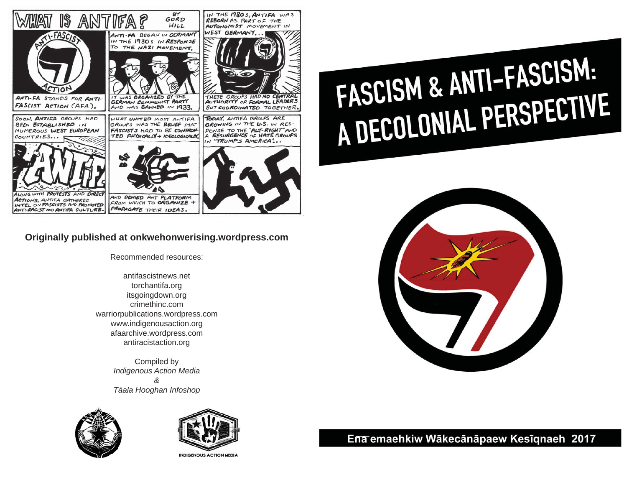

## **Originally published at onkwehonwerising.wordpress.com**

Recommended resources:

antifascistnews.net torchantifa.org itsgoingdown.org crimethinc.com warriorpublications.wordpress.com www.indigenousaction.org afaarchive.wordpress.com antiracistaction.org

> Compiled by *Indigenous Action Media & Táala Hooghan Infoshop*





**INDIGENOUS ACTION MEDIA** 

# FASCISM & ANTI-FASCISM:<br>A DECOLONIAL PERSPECTIVE



# Ena emaehkiw Wākecānāpaew Kesīgnaeh 2017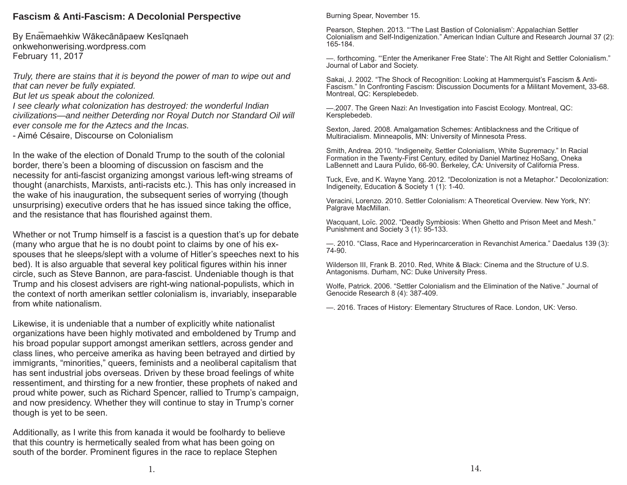#### **Fascism & Anti-Fascism: A Decolonial Perspective**

By Enaemaehkiw Wākecānāpaew Kesīgnaeh onkwehonwerising.wordpress.com February 11, 2017

*Truly, there are stains that it is beyond the power of man to wipe out and that can never be fully expiated.*

*But let us speak about the colonized.*

*I see clearly what colonization has destroyed: the wonderful Indian civilizations—and neither Deterding nor Royal Dutch nor Standard Oil will ever console me for the Aztecs and the Incas.*

- Aimé Césaire, Discourse on Colonialism

In the wake of the election of Donald Trump to the south of the colonial border, there's been a blooming of discussion on fascism and the necessity for anti-fascist organizing amongst various left-wing streams of thought (anarchists, Marxists, anti-racists etc.). This has only increased in the wake of his inauguration, the subsequent series of worrying (though unsurprising) executive orders that he has issued since taking the office, and the resistance that has flourished against them.

Whether or not Trump himself is a fascist is a question that's up for debate (many who argue that he is no doubt point to claims by one of his exspouses that he sleeps/slept with a volume of Hitler's speeches next to his bed). It is also arguable that several key political figures within his inner circle, such as Steve Bannon, are para-fascist. Undeniable though is that Trump and his closest advisers are right-wing national-populists, which in the context of north amerikan settler colonialism is, invariably, inseparable from white nationalism.

Likewise, it is undeniable that a number of explicitly white nationalist organizations have been highly motivated and emboldened by Trump and his broad popular support amongst amerikan settlers, across gender and class lines, who perceive amerika as having been betrayed and dirtied by immigrants, "minorities," queers, feminists and a neoliberal capitalism that has sent industrial jobs overseas. Driven by these broad feelings of white ressentiment, and thirsting for a new frontier, these prophets of naked and proud white power, such as Richard Spencer, rallied to Trump's campaign, and now presidency. Whether they will continue to stay in Trump's corner though is yet to be seen.

Additionally, as I write this from kanada it would be foolhardy to believe that this country is hermetically sealed from what has been going on south of the border. Prominent figures in the race to replace Stephen

Burning Spear, November 15.

Pearson, Stephen. 2013. "'The Last Bastion of Colonialism': Appalachian Settler Colonialism and Self-Indigenization." American Indian Culture and Research Journal 37 (2): 165-184.

—. forthcoming. "'Enter the Amerikaner Free State': The Alt Right and Settler Colonialism." Journal of Labor and Society.

Sakai, J. 2002. "The Shock of Recognition: Looking at Hammerquist's Fascism & Anti-Fascism." In Confronting Fascism: Discussion Documents for a Militant Movement, 33-68. Montreal, QC: Kersplebedeb.

—.2007. The Green Nazi: An Investigation into Fascist Ecology. Montreal, QC: Kersplebedeb.

Sexton, Jared. 2008. Amalgamation Schemes: Antiblackness and the Critique of Multiracialism. Minneapolis, MN: University of Minnesota Press.

Smith, Andrea. 2010. "Indigeneity, Settler Colonialism, White Supremacy." In Racial Formation in the Twenty-First Century, edited by Daniel Martinez HoSang, Oneka LaBennett and Laura Pulido, 66-90. Berkeley, CA: University of California Press.

Tuck, Eve, and K. Wayne Yang. 2012. "Decolonization is not a Metaphor." Decolonization: Indigeneity, Education & Society 1 (1): 1-40.

Veracini, Lorenzo. 2010. Settler Colonialism: A Theoretical Overview. New York, NY: Palgrave MacMillan.

Wacquant, Loïc. 2002. "Deadly Symbiosis: When Ghetto and Prison Meet and Mesh." Punishment and Society 3 (1): 95-133.

—. 2010. "Class, Race and Hyperincarceration in Revanchist America." Daedalus 139 (3): 74-90.

Wilderson III, Frank B. 2010. Red, White & Black: Cinema and the Structure of U.S. Antagonisms. Durham, NC: Duke University Press.

Wolfe, Patrick. 2006. "Settler Colonialism and the Elimination of the Native." Journal of Genocide Research 8 (4): 387-409.

—. 2016. Traces of History: Elementary Structures of Race. London, UK: Verso.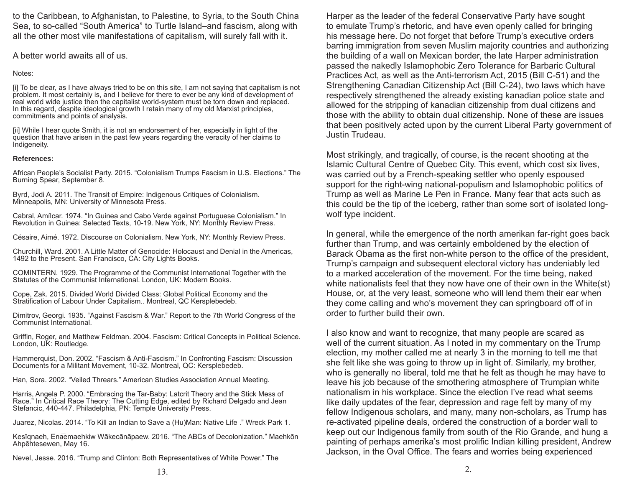to the Caribbean, to Afghanistan, to Palestine, to Syria, to the South China Sea, to so-called "South America" to Turtle Island–and fascism, along with all the other most vile manifestations of capitalism, will surely fall with it.

A better world awaits all of us.

#### Notes:

[i] To be clear, as I have always tried to be on this site, I am not saying that capitalism is not problem. It most certainly is, and I believe for there to ever be any kind of development of real world wide justice then the capitalist world-system must be torn down and replaced. In this regard, despite ideological growth I retain many of my old Marxist principles, commitments and points of analysis.

[ii] While I hear quote Smith, it is not an endorsement of her, especially in light of the question that have arisen in the past few years regarding the veracity of her claims to Indigeneity.

#### **References:**

African People's Socialist Party. 2015. "Colonialism Trumps Fascism in U.S. Elections." The Burning Spear, September 8.

Byrd, Jodi A. 2011. The Transit of Empire: Indigenous Critiques of Colonialism. Minneapolis, MN: University of Minnesota Press.

Cabral, Amílcar. 1974. "In Guinea and Cabo Verde against Portuguese Colonialism." In Revolution in Guinea: Selected Texts, 10-19. New York, NY: Monthly Review Press.

Césaire, Aimé. 1972. Discourse on Colonialism. New York, NY: Monthly Review Press.

Churchill, Ward. 2001. A Little Matter of Genocide: Holocaust and Denial in the Americas, 1492 to the Present. San Francisco, CA: City Lights Books.

COMINTERN. 1929. The Programme of the Communist International Together with the Statutes of the Communist International. London, UK: Modern Books.

Cope, Zak. 2015. Divided World Divided Class: Global Political Economy and the Stratification of Labour Under Capitalism.. Montreal, QC Kersplebedeb.

Dimitrov, Georgi. 1935. "Against Fascism & War." Report to the 7th World Congress of the Communist International.

Griffin, Roger, and Matthew Feldman. 2004. Fascism: Critical Concepts in Political Science. London, UK: Routledge.

Hammerquist, Don. 2002. "Fascism & Anti-Fascism." In Confronting Fascism: Discussion Documents for a Militant Movement, 10-32. Montreal, QC: Kersplebedeb.

Han, Sora. 2002. "Veiled Threars." American Studies Association Annual Meeting.

Harris, Angela P. 2000. "Embracing the Tar-Baby: Latcrit Theory and the Stick Mess of Race." In Critical Race Theory: The Cutting Edge, edited by Richard Delgado and Jean Stefancic, 440-447. Philadelphia, PN: Temple University Press.

Juarez, Nicolas. 2014. "To Kill an Indian to Save a (Hu)Man: Native Life ." Wreck Park 1.

Kesīqnaeh, Enaemaehkiw Wākecānāpaew. 2016. "The ABCs of Decolonization." Maehkōn Ahpēhtesewen, May 16.

Nevel, Jesse. 2016. "Trump and Clinton: Both Representatives of White Power." The

Harper as the leader of the federal Conservative Party have sought to emulate Trump's rhetoric, and have even openly called for bringing his message here. Do not forget that before Trump's executive orders barring immigration from seven Muslim majority countries and authorizing the building of a wall on Mexican border, the late Harper administration passed the nakedly Islamophobic Zero Tolerance for Barbaric Cultural Practices Act, as well as the Anti-terrorism Act, 2015 (Bill C-51) and the Strengthening Canadian Citizenship Act (Bill C-24), two laws which have respectively strengthened the already existing kanadian police state and allowed for the stripping of kanadian citizenship from dual citizens and those with the ability to obtain dual citizenship. None of these are issues that been positively acted upon by the current Liberal Party government of Justin Trudeau.

Most strikingly, and tragically, of course, is the recent shooting at the Islamic Cultural Centre of Quebec City. This event, which cost six lives, was carried out by a French-speaking settler who openly espoused support for the right-wing national-populism and Islamophobic politics of Trump as well as Marine Le Pen in France. Many fear that acts such as this could be the tip of the iceberg, rather than some sort of isolated longwolf type incident.

In general, while the emergence of the north amerikan far-right goes back further than Trump, and was certainly emboldened by the election of Barack Obama as the first non-white person to the office of the president, Trump's campaign and subsequent electoral victory has undeniably led to a marked acceleration of the movement. For the time being, naked white nationalists feel that they now have one of their own in the White(st) House, or, at the very least, someone who will lend them their ear when they come calling and who's movement they can springboard off of in order to further build their own.

I also know and want to recognize, that many people are scared as well of the current situation. As I noted in my commentary on the Trump election, my mother called me at nearly 3 in the morning to tell me that she felt like she was going to throw up in light of. Similarly, my brother, who is generally no liberal, told me that he felt as though he may have to leave his job because of the smothering atmosphere of Trumpian white nationalism in his workplace. Since the election I've read what seems like daily updates of the fear, depression and rage felt by many of my fellow Indigenous scholars, and many, many non-scholars, as Trump has re-activated pipeline deals, ordered the construction of a border wall to keep out our Indigenous family from south of the Rio Grande, and hung a painting of perhaps amerika's most prolific Indian killing president, Andrew Jackson, in the Oval Office. The fears and worries being experienced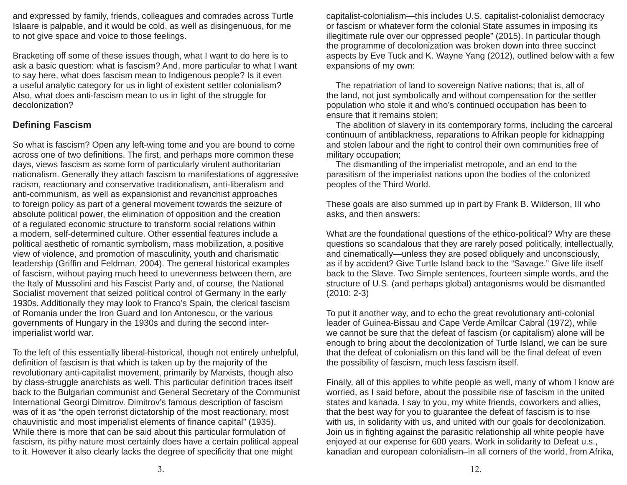and expressed by family, friends, colleagues and comrades across Turtle Islaare is palpable, and it would be cold, as well as disingenuous, for me to not give space and voice to those feelings.

Bracketing off some of these issues though, what I want to do here is to ask a basic question: what is fascism? And, more particular to what I want to say here, what does fascism mean to Indigenous people? Is it even a useful analytic category for us in light of existent settler colonialism? Also, what does anti-fascism mean to us in light of the struggle for decolonization?

## **Defi ning Fascism**

So what is fascism? Open any left-wing tome and you are bound to come across one of two definitions. The first, and perhaps more common these days, views fascism as some form of particularly virulent authoritarian nationalism. Generally they attach fascism to manifestations of aggressive racism, reactionary and conservative traditionalism, anti-liberalism and anti-communism, as well as expansionist and revanchist approaches to foreign policy as part of a general movement towards the seizure of absolute political power, the elimination of opposition and the creation of a regulated economic structure to transform social relations within a modern, self-determined culture. Other essential features include a political aesthetic of romantic symbolism, mass mobilization, a positive view of violence, and promotion of masculinity, youth and charismatic leadership (Griffin and Feldman, 2004). The general historical examples of fascism, without paying much heed to unevenness between them, are the Italy of Mussolini and his Fascist Party and, of course, the National Socialist movement that seized political control of Germany in the early 1930s. Additionally they may look to Franco's Spain, the clerical fascism of Romania under the Iron Guard and Ion Antonescu, or the various governments of Hungary in the 1930s and during the second interimperialist world war.

To the left of this essentially liberal-historical, though not entirely unhelpful, definition of fascism is that which is taken up by the majority of the revolutionary anti-capitalist movement, primarily by Marxists, though also by class-struggle anarchists as well. This particular definition traces itself back to the Bulgarian communist and General Secretary of the Communist International Georgi Dimitrov. Dimitrov's famous description of fascism was of it as "the open terrorist dictatorship of the most reactionary, most chauvinistic and most imperialist elements of finance capital" (1935). While there is more that can be said about this particular formulation of fascism, its pithy nature most certainly does have a certain political appeal to it. However it also clearly lacks the degree of specificity that one might

capitalist-colonialism—this includes U.S. capitalist-colonialist democracy or fascism or whatever form the colonial State assumes in imposing its illegitimate rule over our oppressed people" (2015). In particular though the programme of decolonization was broken down into three succinct aspects by Eve Tuck and K. Wayne Yang (2012), outlined below with a few expansions of my own:

 The repatriation of land to sovereign Native nations; that is, all of the land, not just symbolically and without compensation for the settler population who stole it and who's continued occupation has been to ensure that it remains stolen;

 The abolition of slavery in its contemporary forms, including the carceral continuum of antiblackness, reparations to Afrikan people for kidnapping and stolen labour and the right to control their own communities free of military occupation;

 The dismantling of the imperialist metropole, and an end to the parasitism of the imperialist nations upon the bodies of the colonized peoples of the Third World.

These goals are also summed up in part by Frank B. Wilderson, III who asks, and then answers:

What are the foundational questions of the ethico-political? Why are these questions so scandalous that they are rarely posed politically, intellectually, and cinematically—unless they are posed obliquely and unconsciously, as if by accident? Give Turtle Island back to the "Savage." Give life itself back to the Slave. Two Simple sentences, fourteen simple words, and the structure of U.S. (and perhaps global) antagonisms would be dismantled (2010: 2-3)

To put it another way, and to echo the great revolutionary anti-colonial leader of Guinea-Bissau and Cape Verde Amílcar Cabral (1972), while we cannot be sure that the defeat of fascism (or capitalism) alone will be enough to bring about the decolonization of Turtle Island, we can be sure that the defeat of colonialism on this land will be the final defeat of even the possibility of fascism, much less fascism itself.

Finally, all of this applies to white people as well, many of whom I know are worried, as I said before, about the possibile rise of fascism in the united states and kanada. I say to you, my white friends, coworkers and allies, that the best way for you to guarantee the defeat of fascism is to rise with us, in solidarity with us, and united with our goals for decolonization. Join us in fighting against the parasitic relationship all white people have enjoyed at our expense for 600 years. Work in solidarity to Defeat u.s., kanadian and european colonialism–in all corners of the world, from Afrika,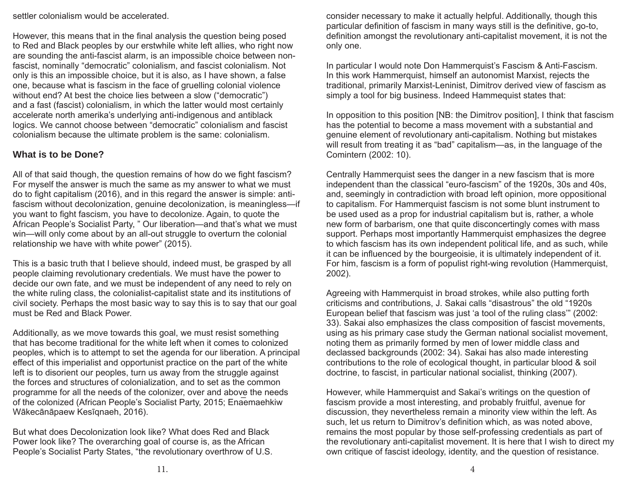settler colonialism would be accelerated.

However, this means that in the final analysis the question being posed to Red and Black peoples by our erstwhile white left allies, who right now are sounding the anti-fascist alarm, is an impossible choice between nonfascist, nominally "democratic" colonialism, and fascist colonialism. Not only is this an impossible choice, but it is also, as I have shown, a false one, because what is fascism in the face of gruelling colonial violence without end? At best the choice lies between a slow ("democratic") and a fast (fascist) colonialism, in which the latter would most certainly accelerate north amerika's underlying anti-indigenous and antiblack logics. We cannot choose between "democratic" colonialism and fascist colonialism because the ultimate problem is the same: colonialism.

#### **What is to be Done?**

All of that said though, the question remains of how do we fight fascism? For myself the answer is much the same as my answer to what we must do to fight capitalism (2016), and in this regard the answer is simple: antifascism without decolonization, genuine decolonization, is meaningless—if you want to fight fascism, you have to decolonize. Again, to quote the African People's Socialist Party, " Our liberation—and that's what we must win—will only come about by an all-out struggle to overturn the colonial relationship we have with white power" (2015).

This is a basic truth that I believe should, indeed must, be grasped by all people claiming revolutionary credentials. We must have the power to decide our own fate, and we must be independent of any need to rely on the white ruling class, the colonialist-capitalist state and its institutions of civil society. Perhaps the most basic way to say this is to say that our goal must be Red and Black Power.

Additionally, as we move towards this goal, we must resist something that has become traditional for the white left when it comes to colonized peoples, which is to attempt to set the agenda for our liberation. A principal effect of this imperialist and opportunist practice on the part of the white left is to disorient our peoples, turn us away from the struggle against the forces and structures of colonialization, and to set as the common programme for all the needs of the colonizer, over and above the needs of the colonized (African People's Socialist Party, 2015; Enaemaehkiw Wākecānāpaew Kesīqnaeh, 2016).

But what does Decolonization look like? What does Red and Black Power look like? The overarching goal of course is, as the African People's Socialist Party States, "the revolutionary overthrow of U.S. consider necessary to make it actually helpful. Additionally, though this particular definition of fascism in many ways still is the definitive, go-to, definition amongst the revolutionary anti-capitalist movement, it is not the only one.

In particular I would note Don Hammerquist's Fascism & Anti-Fascism. In this work Hammerquist, himself an autonomist Marxist, rejects the traditional, primarily Marxist-Leninist, Dimitrov derived view of fascism as simply a tool for big business. Indeed Hammequist states that:

In opposition to this position [NB: the Dimitrov position], I think that fascism has the potential to become a mass movement with a substantial and genuine element of revolutionary anti-capitalism. Nothing but mistakes will result from treating it as "bad" capitalism—as, in the language of the Comintern (2002: 10).

Centrally Hammerquist sees the danger in a new fascism that is more independent than the classical "euro-fascism" of the 1920s, 30s and 40s, and, seemingly in contradiction with broad left opinion, more oppositional to capitalism. For Hammerquist fascism is not some blunt instrument to be used used as a prop for industrial capitalism but is, rather, a whole new form of barbarism, one that quite disconcertingly comes with mass support. Perhaps most importantly Hammerquist emphasizes the degree to which fascism has its own independent political life, and as such, while it can be influenced by the bourgeoisie, it is ultimately independent of it. For him, fascism is a form of populist right-wing revolution (Hammerquist, 2002).

Agreeing with Hammerquist in broad strokes, while also putting forth criticisms and contributions, J. Sakai calls "disastrous" the old "1920s European belief that fascism was just 'a tool of the ruling class'" (2002: 33). Sakai also emphasizes the class composition of fascist movements, using as his primary case study the German national socialist movement, noting them as primarily formed by men of lower middle class and declassed backgrounds (2002: 34). Sakai has also made interesting contributions to the role of ecological thought, in particular blood & soil doctrine, to fascist, in particular national socialist, thinking (2007).

However, while Hammerquist and Sakai's writings on the question of fascism provide a most interesting, and probably fruitful, avenue for discussion, they nevertheless remain a minority view within the left. As such, let us return to Dimitrov's definition which, as was noted above, remains the most popular by those self-professing credentials as part of the revolutionary anti-capitalist movement. It is here that I wish to direct my own critique of fascist ideology, identity, and the question of resistance.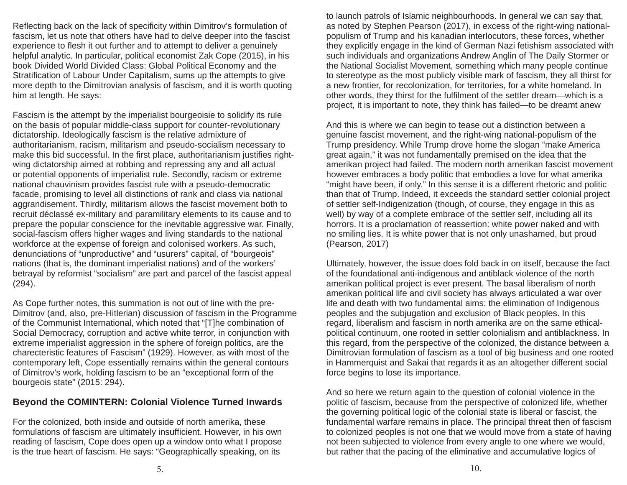Reflecting back on the lack of specificity within Dimitrov's formulation of fascism, let us note that others have had to delve deeper into the fascist experience to flesh it out further and to attempt to deliver a genuinely helpful analytic. In particular, political economist Zak Cope (2015), in his book Divided World Divided Class: Global Political Economy and the Stratification of Labour Under Capitalism, sums up the attempts to give more depth to the Dimitrovian analysis of fascism, and it is worth quoting him at length. He says:

Fascism is the attempt by the imperialist bourgeoisie to solidify its rule on the basis of popular middle-class support for counter-revolutionary dictatorship. Ideologically fascism is the relative admixture of authoritarianism, racism, militarism and pseudo-socialism necessary to make this bid successful. In the first place, authoritarianism justifies rightwing dictatorship aimed at robbing and repressing any and all actual or potential opponents of imperialist rule. Secondly, racism or extreme national chauvinism provides fascist rule with a pseudo-democratic facade, promising to level all distinctions of rank and class via national aggrandisement. Thirdly, militarism allows the fascist movement both to recruit déclassé ex-military and paramilitary elements to its cause and to prepare the popular conscience for the inevitable aggressive war. Finally, social-fascism offers higher wages and living standards to the national workforce at the expense of foreign and colonised workers. As such, denunciations of "unproductive" and "usurers" capital, of "bourgeois" nations (that is, the dominant imperialist nations) and of the workers' betrayal by reformist "socialism" are part and parcel of the fascist appeal (294).

As Cope further notes, this summation is not out of line with the pre-Dimitrov (and, also, pre-Hitlerian) discussion of fascism in the Programme of the Communist International, which noted that "[T]he combination of Social Democracy, corruption and active white terror, in conjunction with extreme imperialist aggression in the sphere of foreign politics, are the charecteristic features of Fascism" (1929). However, as with most of the contemporary left, Cope essentially remains within the general contours of Dimitrov's work, holding fascism to be an "exceptional form of the bourgeois state" (2015: 294).

## **Beyond the COMINTERN: Colonial Violence Turned Inwards**

For the colonized, both inside and outside of north amerika, these formulations of fascism are ultimately insufficient. However, in his own reading of fascism, Cope does open up a window onto what I propose is the true heart of fascism. He says: "Geographically speaking, on its

to launch patrols of Islamic neighbourhoods. In general we can say that, as noted by Stephen Pearson (2017), in excess of the right-wing nationalpopulism of Trump and his kanadian interlocutors, these forces, whether they explicitly engage in the kind of German Nazi fetishism associated with such individuals and organizations Andrew Anglin of The Daily Stormer or the National Socialist Movement, something which many people continue to stereotype as the most publicly visible mark of fascism, they all thirst for a new frontier, for recolonization, for territories, for a white homeland. In other words, they thirst for the fulfilment of the settler dream—which is a project, it is important to note, they think has failed—to be dreamt anew

And this is where we can begin to tease out a distinction between a genuine fascist movement, and the right-wing national-populism of the Trump presidency. While Trump drove home the slogan "make America great again," it was not fundamentally premised on the idea that the amerikan project had failed. The modern north amerikan fascist movement however embraces a body politic that embodies a love for what amerika "might have been, if only." In this sense it is a different rhetoric and politic than that of Trump. Indeed, it exceeds the standard settler colonial project of settler self-Indigenization (though, of course, they engage in this as well) by way of a complete embrace of the settler self, including all its horrors. It is a proclamation of reassertion: white power naked and with no smiling lies. It is white power that is not only unashamed, but proud (Pearson, 2017)

Ultimately, however, the issue does fold back in on itself, because the fact of the foundational anti-indigenous and antiblack violence of the north amerikan political project is ever present. The basal liberalism of north amerikan political life and civil society has always articulated a war over life and death with two fundamental aims: the elimination of Indigenous peoples and the subjugation and exclusion of Black peoples. In this regard, liberalism and fascism in north amerika are on the same ethicalpolitical continuum, one rooted in settler colonialism and antiblackness. In this regard, from the perspective of the colonized, the distance between a Dimitrovian formulation of fascism as a tool of big business and one rooted in Hammerquist and Sakai that regards it as an altogether different social force begins to lose its importance.

And so here we return again to the question of colonial violence in the politic of fascism, because from the perspective of colonized life, whether the governing political logic of the colonial state is liberal or fascist, the fundamental warfare remains in place. The principal threat then of fascism to colonized peoples is not one that we would move from a state of having not been subjected to violence from every angle to one where we would, but rather that the pacing of the eliminative and accumulative logics of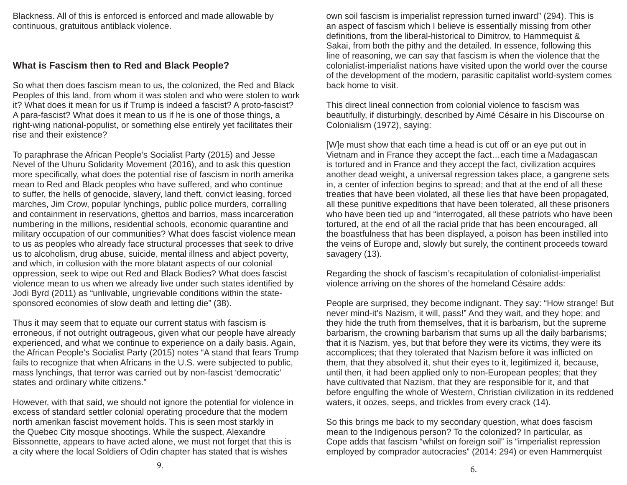Blackness. All of this is enforced is enforced and made allowable by continuous, gratuitous antiblack violence.

#### **What is Fascism then to Red and Black People?**

So what then does fascism mean to us, the colonized, the Red and Black Peoples of this land, from whom it was stolen and who were stolen to work it? What does it mean for us if Trump is indeed a fascist? A proto-fascist? A para-fascist? What does it mean to us if he is one of those things, a right-wing national-populist, or something else entirely yet facilitates their rise and their existence?

To paraphrase the African People's Socialist Party (2015) and Jesse Nevel of the Uhuru Solidarity Movement (2016), and to ask this question more specifically, what does the potential rise of fascism in north amerika mean to Red and Black peoples who have suffered, and who continue to suffer, the hells of genocide, slavery, land theft, convict leasing, forced marches, Jim Crow, popular lynchings, public police murders, corralling and containment in reservations, ghettos and barrios, mass incarceration numbering in the millions, residential schools, economic quarantine and military occupation of our communities? What does fascist violence mean to us as peoples who already face structural processes that seek to drive us to alcoholism, drug abuse, suicide, mental illness and abject poverty, and which, in collusion with the more blatant aspects of our colonial oppression, seek to wipe out Red and Black Bodies? What does fascist violence mean to us when we already live under such states identified by Jodi Byrd (2011) as "unlivable, ungrievable conditions within the statesponsored economies of slow death and letting die" (38).

Thus it may seem that to equate our current status with fascism is erroneous, if not outright outrageous, given what our people have already experienced, and what we continue to experience on a daily basis. Again, the African People's Socialist Party (2015) notes "A stand that fears Trump fails to recognize that when Africans in the U.S. were subjected to public, mass lynchings, that terror was carried out by non-fascist 'democratic' states and ordinary white citizens."

However, with that said, we should not ignore the potential for violence in excess of standard settler colonial operating procedure that the modern north amerikan fascist movement holds. This is seen most starkly in the Quebec City mosque shootings. While the suspect, Alexandre Bissonnette, appears to have acted alone, we must not forget that this is a city where the local Soldiers of Odin chapter has stated that is wishes

own soil fascism is imperialist repression turned inward" (294). This is an aspect of fascism which I believe is essentially missing from other definitions, from the liberal-historical to Dimitrov, to Hammequist & Sakai, from both the pithy and the detailed. In essence, following this line of reasoning, we can say that fascism is when the violence that the colonialist-imperialist nations have visited upon the world over the course of the development of the modern, parasitic capitalist world-system comes back home to visit.

This direct lineal connection from colonial violence to fascism was beautifully, if disturbingly, described by Aimé Césaire in his Discourse on Colonialism (1972), saying:

[W]e must show that each time a head is cut off or an eye put out in Vietnam and in France they accept the fact…each time a Madagascan is tortured and in France and they accept the fact, civilization acquires another dead weight, a universal regression takes place, a gangrene sets in, a center of infection begins to spread; and that at the end of all these treaties that have been violated, all these lies that have been propagated, all these punitive expeditions that have been tolerated, all these prisoners who have been tied up and "interrogated, all these patriots who have been tortured, at the end of all the racial pride that has been encouraged, all the boastfulness that has been displayed, a poison has been instilled into the veins of Europe and, slowly but surely, the continent proceeds toward savagery (13).

Regarding the shock of fascism's recapitulation of colonialist-imperialist violence arriving on the shores of the homeland Césaire adds:

People are surprised, they become indignant. They say: "How strange! But never mind-it's Nazism, it will, pass!" And they wait, and they hope; and they hide the truth from themselves, that it is barbarism, but the supreme barbarism, the crowning barbarism that sums up all the daily barbarisms; that it is Nazism, yes, but that before they were its victims, they were its accomplices; that they tolerated that Nazism before it was inflicted on them, that they absolved it, shut their eyes to it, legitimized it, because, until then, it had been applied only to non-European peoples; that they have cultivated that Nazism, that they are responsible for it, and that before engulfing the whole of Western, Christian civilization in its reddened waters, it oozes, seeps, and trickles from every crack (14).

So this brings me back to my secondary question, what does fascism mean to the Indigenous person? To the colonized? In particular, as Cope adds that fascism "whilst on foreign soil" is "imperialist repression employed by comprador autocracies" (2014: 294) or even Hammerquist